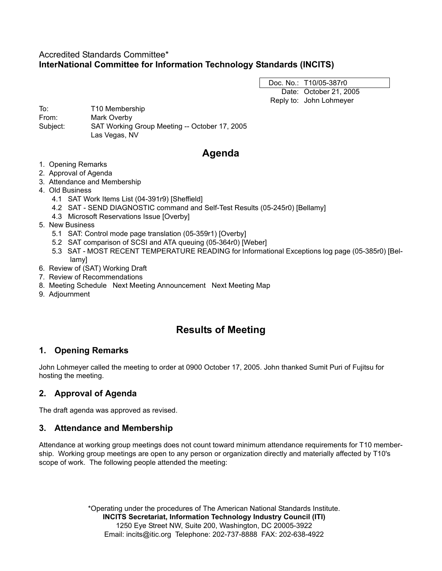# Accredited Standards Committee\* **InterNational Committee for Information Technology Standards (INCITS)**

Doc. No.: T10/05-387r0 Date: October 21, 2005 Reply to: John Lohmeyer

To: T10 Membership From: Mark Overby Subject: SAT Working Group Meeting -- October 17, 2005 Las Vegas, NV

# **Agenda**

- 1. Opening Remarks
- 2. Approval of Agenda
- 3. Attendance and Membership
- 4. Old Business
	- 4.1 SAT Work Items List (04-391r9) [Sheffield]
	- 4.2 SAT SEND DIAGNOSTIC command and Self-Test Results (05-245r0) [Bellamy]
	- 4.3 Microsoft Reservations Issue [Overby]
- 5. New Business
	- 5.1 SAT: Control mode page translation (05-359r1) [Overby]
	- 5.2 SAT comparison of SCSI and ATA queuing (05-364r0) [Weber]
	- 5.3 SAT MOST RECENT TEMPERATURE READING for Informational Exceptions log page (05-385r0) [Bellamy]
- 6. Review of (SAT) Working Draft
- 7. Review of Recommendations
- 8. Meeting Schedule Next Meeting Announcement Next Meeting Map
- 9. Adjournment

# **Results of Meeting**

# **1. Opening Remarks**

John Lohmeyer called the meeting to order at 0900 October 17, 2005. John thanked Sumit Puri of Fujitsu for hosting the meeting.

# **2. Approval of Agenda**

The draft agenda was approved as revised.

# **3. Attendance and Membership**

Attendance at working group meetings does not count toward minimum attendance requirements for T10 membership. Working group meetings are open to any person or organization directly and materially affected by T10's scope of work. The following people attended the meeting:

> \*Operating under the procedures of The American National Standards Institute. **INCITS Secretariat, Information Technology Industry Council (ITI)** 1250 Eye Street NW, Suite 200, Washington, DC 20005-3922 Email: incits@itic.org Telephone: 202-737-8888 FAX: 202-638-4922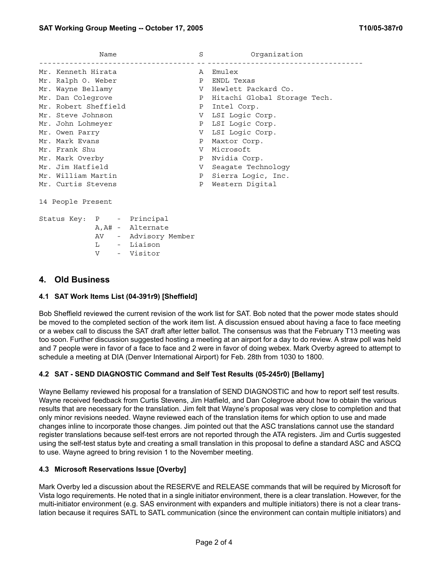| Name                 | S            | Organization                 |
|----------------------|--------------|------------------------------|
| Mr. Kenneth Hirata   | A            | Emulex                       |
| Mr. Ralph O. Weber   | P            | ENDL Texas                   |
| Mr. Wayne Bellamy    | V            | Hewlett Packard Co.          |
| Mr. Dan Colegrove    | $\mathbf{P}$ | Hitachi Global Storage Tech. |
| Mr. Robert Sheffield |              | P Intel Corp.                |
| Mr. Steve Johnson    | V –          | LSI Loqic Corp.              |
| Mr. John Lohmeyer    |              | P LSI Logic Corp.            |
| Mr. Owen Parry       | V            | LSI Logic Corp.              |
| Mr. Mark Evans       | Ρ            | Maxtor Corp.                 |
| Mr. Frank Shu        | V            | Microsoft                    |
| Mr. Mark Overby      | P            | Nvidia Corp.                 |
| Mr. Jim Hatfield     | V            | Seagate Technology           |
| Mr. William Martin   | P            | Sierra Logic, Inc.           |
| Mr. Curtis Stevens   | Ρ            | Western Digital              |
|                      |              |                              |

14 People Present

|  |    | Status Key: P - Principal |  |
|--|----|---------------------------|--|
|  |    | A, A# - Alternate         |  |
|  | AV | Advisory Member           |  |
|  | т. | - Liaison                 |  |
|  | N. | - Visitor                 |  |

### **4. Old Business**

#### **4.1 SAT Work Items List (04-391r9) [Sheffield]**

Bob Sheffield reviewed the current revision of the work list for SAT. Bob noted that the power mode states should be moved to the completed section of the work item list. A discussion ensued about having a face to face meeting or a webex call to discuss the SAT draft after letter ballot. The consensus was that the February T13 meeting was too soon. Further discussion suggested hosting a meeting at an airport for a day to do review. A straw poll was held and 7 people were in favor of a face to face and 2 were in favor of doing webex. Mark Overby agreed to attempt to schedule a meeting at DIA (Denver International Airport) for Feb. 28th from 1030 to 1800.

#### **4.2 SAT - SEND DIAGNOSTIC Command and Self Test Results (05-245r0) [Bellamy]**

Wayne Bellamy reviewed his proposal for a translation of SEND DIAGNOSTIC and how to report self test results. Wayne received feedback from Curtis Stevens, Jim Hatfield, and Dan Colegrove about how to obtain the various results that are necessary for the translation. Jim felt that Wayne's proposal was very close to completion and that only minor revisions needed. Wayne reviewed each of the translation items for which option to use and made changes inline to incorporate those changes. Jim pointed out that the ASC translations cannot use the standard register translations because self-test errors are not reported through the ATA registers. Jim and Curtis suggested using the self-test status byte and creating a small translation in this proposal to define a standard ASC and ASCQ to use. Wayne agreed to bring revision 1 to the November meeting.

#### **4.3 Microsoft Reservations Issue [Overby]**

Mark Overby led a discussion about the RESERVE and RELEASE commands that will be required by Microsoft for Vista logo requirements. He noted that in a single initiator environment, there is a clear translation. However, for the multi-initiator environment (e.g. SAS environment with expanders and multiple initiators) there is not a clear translation because it requires SATL to SATL communication (since the environment can contain multiple initiators) and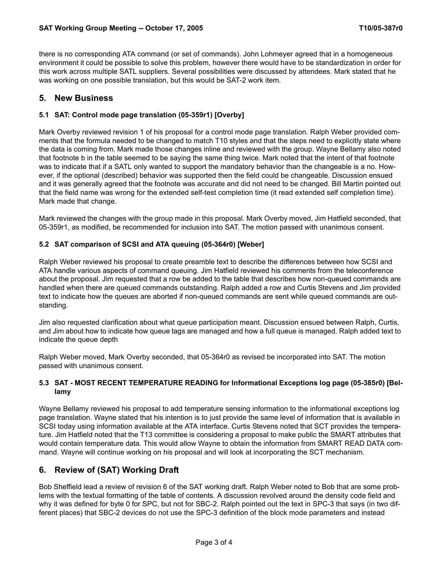there is no corresponding ATA command (or set of commands). John Lohmeyer agreed that in a homogeneous environment it could be possible to solve this problem, however there would have to be standardization in order for this work across multiple SATL suppliers. Several possibilities were discussed by attendees. Mark stated that he was working on one possible translation, but this would be SAT-2 work item.

### **5. New Business**

#### **5.1 SAT: Control mode page translation (05-359r1) [Overby]**

Mark Overby reviewed revision 1 of his proposal for a control mode page translation. Ralph Weber provided comments that the formula needed to be changed to match T10 styles and that the steps need to explicitly state where the data is coming from. Mark made those changes inline and reviewed with the group. Wayne Bellamy also noted that footnote b in the table seemed to be saying the same thing twice. Mark noted that the intent of that footnote was to indicate that if a SATL only wanted to support the mandatory behavior than the changeable is a no. However, if the optional (described) behavior was supported then the field could be changeable. Discussion ensued and it was generally agreed that the footnote was accurate and did not need to be changed. Bill Martin pointed out that the field name was wrong for the extended self-test completion time (it read extended self completion time). Mark made that change.

Mark reviewed the changes with the group made in this proposal. Mark Overby moved, Jim Hatfield seconded, that 05-359r1, as modified, be recommended for inclusion into SAT. The motion passed with unanimous consent.

#### **5.2 SAT comparison of SCSI and ATA queuing (05-364r0) [Weber]**

Ralph Weber reviewed his proposal to create preamble text to describe the differences between how SCSI and ATA handle various aspects of command queuing. Jim Hatfield reviewed his comments from the teleconference about the proposal. Jim requested that a row be added to the table that describes how non-queued commands are handled when there are queued commands outstanding. Ralph added a row and Curtis Stevens and Jim provided text to indicate how the queues are aborted if non-queued commands are sent while queued commands are outstanding.

Jim also requested clarification about what queue participation meant. Discussion ensued between Ralph, Curtis, and Jim about how to indicate how queue tags are managed and how a full queue is managed. Ralph added text to indicate the queue depth

Ralph Weber moved, Mark Overby seconded, that 05-364r0 as revised be incorporated into SAT. The motion passed with unanimous consent.

#### **5.3 SAT - MOST RECENT TEMPERATURE READING for Informational Exceptions log page (05-385r0) [Bellamy**

Wayne Bellamy reviewed his proposal to add temperature sensing information to the informational exceptions log page translation. Wayne stated that his intention is to just provide the same level of information that is available in SCSI today using information available at the ATA interface. Curtis Stevens noted that SCT provides the temperature. Jim Hatfield noted that the T13 committee is considering a proposal to make public the SMART attributes that would contain temperature data. This would allow Wayne to obtain the information from SMART READ DATA command. Wayne will continue working on his proposal and will look at incorporating the SCT mechanism.

# **6. Review of (SAT) Working Draft**

Bob Sheffield lead a review of revision 6 of the SAT working draft. Ralph Weber noted to Bob that are some problems with the textual formatting of the table of contents. A discussion revolved around the density code field and why it was defined for byte 0 for SPC, but not for SBC-2. Ralph pointed out the text in SPC-3 that says (in two different places) that SBC-2 devices do not use the SPC-3 definition of the block mode parameters and instead